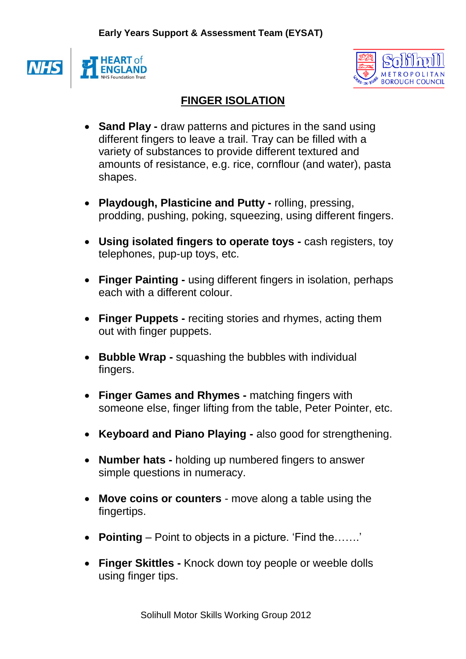



## **FINGER ISOLATION**

- **Sand Play -** draw patterns and pictures in the sand using different fingers to leave a trail. Tray can be filled with a variety of substances to provide different textured and amounts of resistance, e.g. rice, cornflour (and water), pasta shapes.
- **Playdough, Plasticine and Putty -** rolling, pressing, prodding, pushing, poking, squeezing, using different fingers.
- **Using isolated fingers to operate toys -** cash registers, toy telephones, pup-up toys, etc.
- **Finger Painting -** using different fingers in isolation, perhaps each with a different colour.
- **Finger Puppets -** reciting stories and rhymes, acting them out with finger puppets.
- **Bubble Wrap -** squashing the bubbles with individual fingers.
- **Finger Games and Rhymes -** matching fingers with someone else, finger lifting from the table, Peter Pointer, etc.
- **Keyboard and Piano Playing -** also good for strengthening.
- **Number hats -** holding up numbered fingers to answer simple questions in numeracy.
- **Move coins or counters** move along a table using the fingertips.
- **Pointing** Point to objects in a picture. 'Find the…….'
- **Finger Skittles -** Knock down toy people or weeble dolls using finger tips.